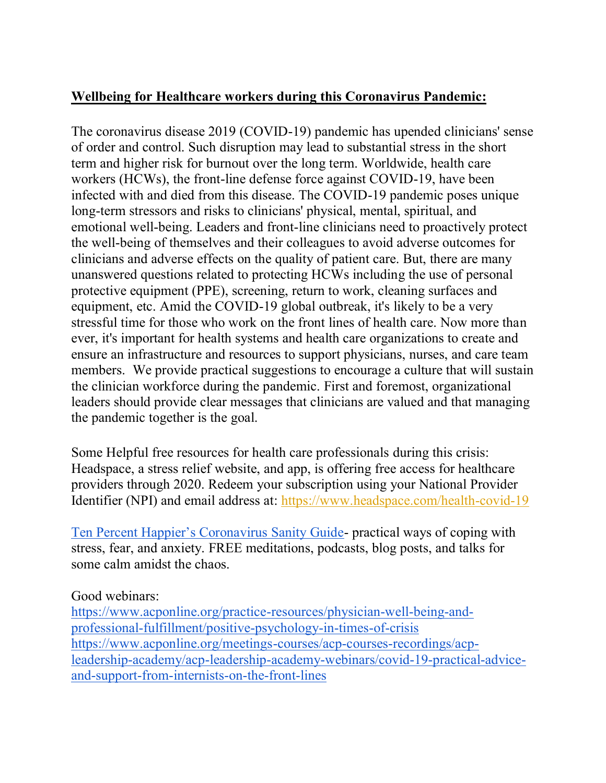# **Wellbeing for Healthcare workers during this Coronavirus Pandemic:**

The coronavirus disease 2019 (COVID-19) pandemic has upended clinicians' sense of order and control. Such disruption may lead to substantial stress in the short term and higher risk for burnout over the long term. Worldwide, health care workers (HCWs), the front-line defense force against COVID-19, have been infected with and died from this disease. The COVID-19 pandemic poses unique long-term stressors and risks to clinicians' physical, mental, spiritual, and emotional well-being. Leaders and front-line clinicians need to proactively protect the well-being of themselves and their colleagues to avoid adverse outcomes for clinicians and adverse effects on the quality of patient care. But, there are many unanswered questions related to protecting HCWs including the use of personal protective equipment (PPE), screening, return to work, cleaning surfaces and equipment, etc. Amid the COVID-19 global outbreak, it's likely to be a very stressful time for those who work on the front lines of health care. Now more than ever, it's important for health systems and health care organizations to create and ensure an infrastructure and resources to support physicians, nurses, and care team members. We provide practical suggestions to encourage a culture that will sustain the clinician workforce during the pandemic. First and foremost, organizational leaders should provide clear messages that clinicians are valued and that managing the pandemic together is the goal.

Some Helpful free resources for health care professionals during this crisis: Headspace, a stress relief website, and app, is offering free access for healthcare providers through 2020. Redeem your subscription using your National Provider Identifier (NPI) and email address at: <https://www.headspace.com/health-covid-19>

[Ten Percent Happier's Coronavirus Sanity Guide](https://www.tenpercent.com/coronavirussanityguide)- practical ways of coping with stress, fear, and anxiety. FREE meditations, podcasts, blog posts, and talks for some calm amidst the chaos.

#### Good webinars:

[https://www.acponline.org/practice-resources/physician-well-being-and](https://www.acponline.org/practice-resources/physician-well-being-and-professional-fulfillment/positive-psychology-in-times-of-crisis)[professional-fulfillment/positive-psychology-in-times-of-crisis](https://www.acponline.org/practice-resources/physician-well-being-and-professional-fulfillment/positive-psychology-in-times-of-crisis) [https://www.acponline.org/meetings-courses/acp-courses-recordings/acp](https://www.acponline.org/meetings-courses/acp-courses-recordings/acp-leadership-academy/acp-leadership-academy-webinars/covid-19-practical-advice-and-support-from-internists-on-the-front-lines)[leadership-academy/acp-leadership-academy-webinars/covid-19-practical-advice](https://www.acponline.org/meetings-courses/acp-courses-recordings/acp-leadership-academy/acp-leadership-academy-webinars/covid-19-practical-advice-and-support-from-internists-on-the-front-lines)[and-support-from-internists-on-the-front-lines](https://www.acponline.org/meetings-courses/acp-courses-recordings/acp-leadership-academy/acp-leadership-academy-webinars/covid-19-practical-advice-and-support-from-internists-on-the-front-lines)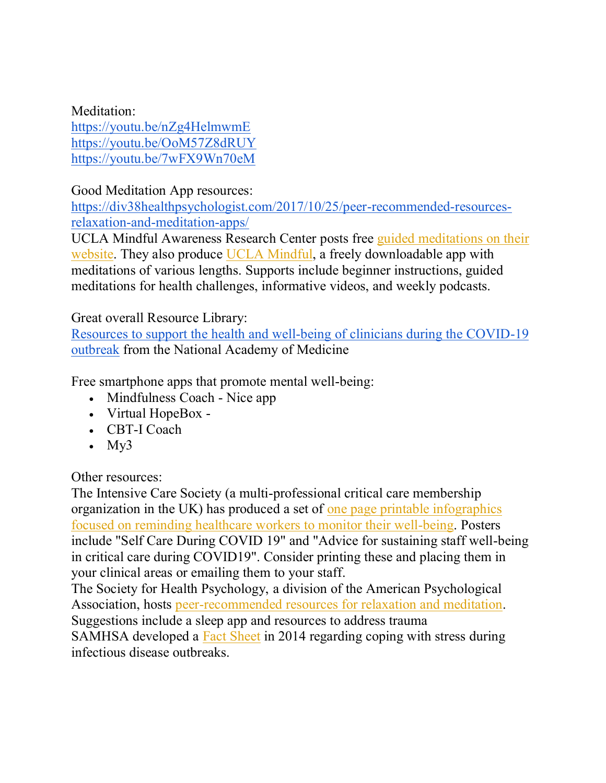Meditation:

<https://youtu.be/nZg4HelmwmE> <https://youtu.be/OoM57Z8dRUY> <https://youtu.be/7wFX9Wn70eM>

Good Meditation App resources:

[https://div38healthpsychologist.com/2017/10/25/peer-recommended-resources](https://div38healthpsychologist.com/2017/10/25/peer-recommended-resources-relaxation-and-meditation-apps/)[relaxation-and-meditation-apps/](https://div38healthpsychologist.com/2017/10/25/peer-recommended-resources-relaxation-and-meditation-apps/)

UCLA Mindful Awareness Research Center posts free [guided meditations on their](https://www.uclahealth.org/marc/mindful-meditations)  [website.](https://www.uclahealth.org/marc/mindful-meditations) They also produce [UCLA Mindful,](https://apps.apple.com/us/app/ucla-mindful/id1459128935) a freely downloadable app with meditations of various lengths. Supports include beginner instructions, guided meditations for health challenges, informative videos, and weekly podcasts.

## Great overall Resource Library:

[Resources to support the health and well-being of clinicians during the COVID-19](https://nam.edu/initiatives/clinician-resilience-and-well-being/clinician-well-being-resources-during-covid-19/)  [outbreak](https://nam.edu/initiatives/clinician-resilience-and-well-being/clinician-well-being-resources-during-covid-19/) from the National Academy of Medicine

Free smartphone apps that promote mental well-being:

- Mindfulness Coach Nice app
- Virtual HopeBox -
- CBT-I Coach
- $\cdot$  My3

Other resources:

The Intensive Care Society (a multi-professional critical care membership organization in the UK) has produced a set of [one page printable infographics](https://www.ics.ac.uk/ICS/Education/Wellbeing/ICS/Wellbeing.aspx)  [focused on reminding healthcare workers to monitor their well-being.](https://www.ics.ac.uk/ICS/Education/Wellbeing/ICS/Wellbeing.aspx) Posters include "Self Care During COVID 19" and "Advice for sustaining staff well-being in critical care during COVID19". Consider printing these and placing them in your clinical areas or emailing them to your staff.

The Society for Health Psychology, a division of the American Psychological Association, hosts [peer-recommended resources for relaxation and meditation.](https://div38healthpsychologist.com/2017/10/25/peer-recommended-resources-relaxation-and-meditation-apps/) Suggestions include a sleep app and resources to address trauma SAMHSA developed a Fact [Sheet](https://store.samhsa.gov/product/Coping-with-Stress-During-Infectious-Disease-Outbreaks/sma14-4885) in 2014 regarding coping with stress during infectious disease outbreaks.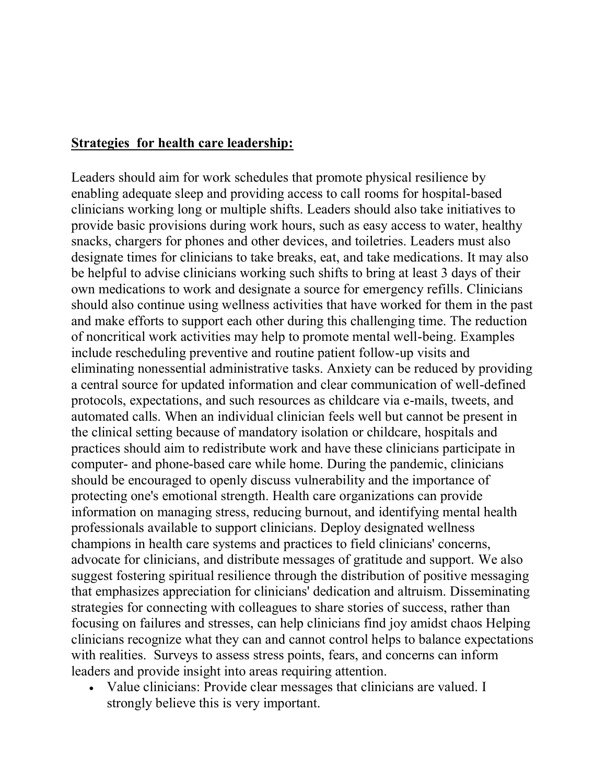### **Strategies for health care leadership:**

Leaders should aim for work schedules that promote physical resilience by enabling adequate sleep and providing access to call rooms for hospital-based clinicians working long or multiple shifts. Leaders should also take initiatives to provide basic provisions during work hours, such as easy access to water, healthy snacks, chargers for phones and other devices, and toiletries. Leaders must also designate times for clinicians to take breaks, eat, and take medications. It may also be helpful to advise clinicians working such shifts to bring at least 3 days of their own medications to work and designate a source for emergency refills. Clinicians should also continue using wellness activities that have worked for them in the past and make efforts to support each other during this challenging time. The reduction of noncritical work activities may help to promote mental well-being. Examples include rescheduling preventive and routine patient follow-up visits and eliminating nonessential administrative tasks. Anxiety can be reduced by providing a central source for updated information and clear communication of well-defined protocols, expectations, and such resources as childcare via e-mails, tweets, and automated calls. When an individual clinician feels well but cannot be present in the clinical setting because of mandatory isolation or childcare, hospitals and practices should aim to redistribute work and have these clinicians participate in computer- and phone-based care while home. During the pandemic, clinicians should be encouraged to openly discuss vulnerability and the importance of protecting one's emotional strength. Health care organizations can provide information on managing stress, reducing burnout, and identifying mental health professionals available to support clinicians. Deploy designated wellness champions in health care systems and practices to field clinicians' concerns, advocate for clinicians, and distribute messages of gratitude and support. We also suggest fostering spiritual resilience through the distribution of positive messaging that emphasizes appreciation for clinicians' dedication and altruism. Disseminating strategies for connecting with colleagues to share stories of success, rather than focusing on failures and stresses, can help clinicians find joy amidst chaos Helping clinicians recognize what they can and cannot control helps to balance expectations with realities. Surveys to assess stress points, fears, and concerns can inform leaders and provide insight into areas requiring attention.

 Value clinicians: Provide clear messages that clinicians are valued. I strongly believe this is very important.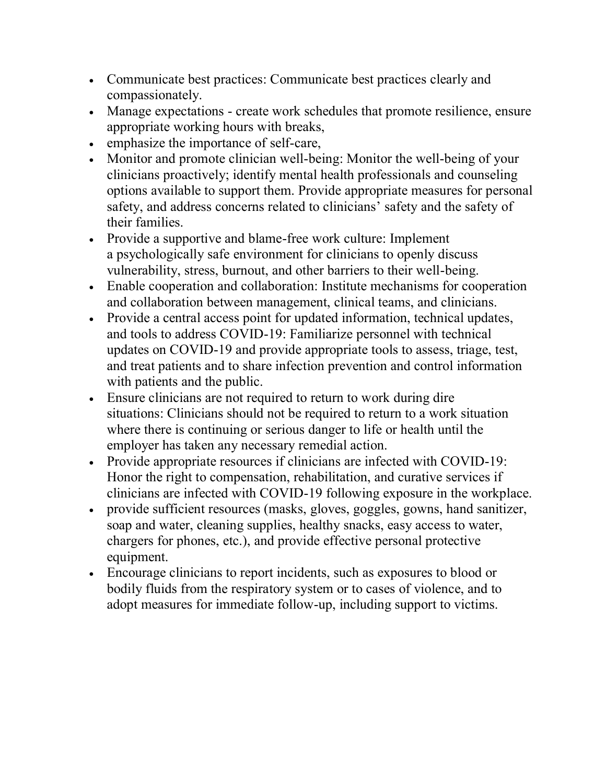- Communicate best practices: Communicate best practices clearly and compassionately.
- Manage expectations create work schedules that promote resilience, ensure appropriate working hours with breaks,
- emphasize the importance of self-care,
- Monitor and promote clinician well-being: Monitor the well-being of your clinicians proactively; identify mental health professionals and counseling options available to support them. Provide appropriate measures for personal safety, and address concerns related to clinicians' safety and the safety of their families.
- Provide a supportive and blame-free work culture: Implement a psychologically safe environment for clinicians to openly discuss vulnerability, stress, burnout, and other barriers to their well-being.
- Enable cooperation and collaboration: Institute mechanisms for cooperation and collaboration between management, clinical teams, and clinicians.
- Provide a central access point for updated information, technical updates, and tools to address COVID-19: Familiarize personnel with technical updates on COVID-19 and provide appropriate tools to assess, triage, test, and treat patients and to share infection prevention and control information with patients and the public.
- Ensure clinicians are not required to return to work during dire situations: Clinicians should not be required to return to a work situation where there is continuing or serious danger to life or health until the employer has taken any necessary remedial action.
- Provide appropriate resources if clinicians are infected with COVID-19: Honor the right to compensation, rehabilitation, and curative services if clinicians are infected with COVID-19 following exposure in the workplace.
- provide sufficient resources (masks, gloves, goggles, gowns, hand sanitizer, soap and water, cleaning supplies, healthy snacks, easy access to water, chargers for phones, etc.), and provide effective personal protective equipment.
- Encourage clinicians to report incidents, such as exposures to blood or bodily fluids from the respiratory system or to cases of violence, and to adopt measures for immediate follow-up, including support to victims.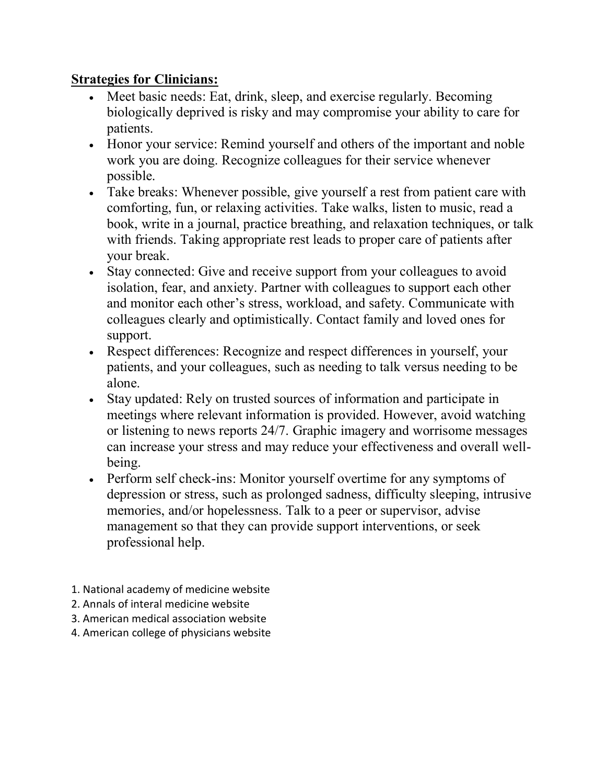# **Strategies for Clinicians:**

- Meet basic needs: Eat, drink, sleep, and exercise regularly. Becoming biologically deprived is risky and may compromise your ability to care for patients.
- Honor your service: Remind yourself and others of the important and noble work you are doing. Recognize colleagues for their service whenever possible.
- Take breaks: Whenever possible, give yourself a rest from patient care with comforting, fun, or relaxing activities. Take walks, listen to music, read a book, write in a journal, practice breathing, and relaxation techniques, or talk with friends. Taking appropriate rest leads to proper care of patients after your break.
- Stay connected: Give and receive support from your colleagues to avoid isolation, fear, and anxiety. Partner with colleagues to support each other and monitor each other's stress, workload, and safety. Communicate with colleagues clearly and optimistically. Contact family and loved ones for support.
- Respect differences: Recognize and respect differences in yourself, your patients, and your colleagues, such as needing to talk versus needing to be alone.
- Stay updated: Rely on trusted sources of information and participate in meetings where relevant information is provided. However, avoid watching or listening to news reports 24/7. Graphic imagery and worrisome messages can increase your stress and may reduce your effectiveness and overall wellbeing.
- Perform self check-ins: Monitor yourself overtime for any symptoms of depression or stress, such as prolonged sadness, difficulty sleeping, intrusive memories, and/or hopelessness. Talk to a peer or supervisor, advise management so that they can provide support interventions, or seek professional help.
- 1. National academy of medicine website
- 2. Annals of interal medicine website
- 3. American medical association website
- 4. American college of physicians website